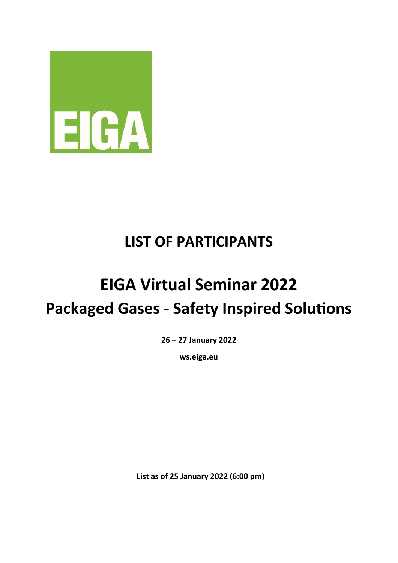

## **LIST OF PARTICIPANTS**

## **EIGA Virtual Seminar 2022 Packaged Gases - Safety Inspired Solutions**

**26 – 27 January 2022** 

**ws.eiga.eu**

**List as of 25 January 2022 (6:00 pm)**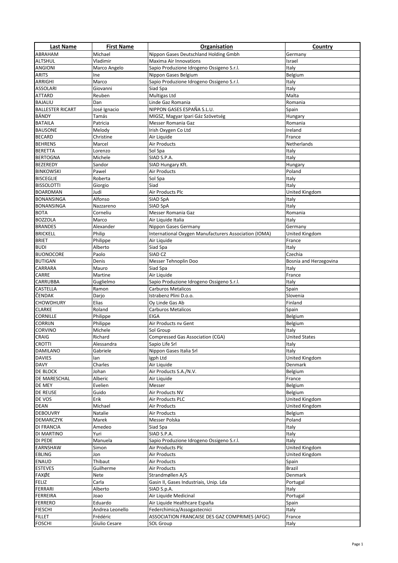| <b>Last Name</b>                 | <b>First Name</b>   | <b>Organisation</b>                                   | <b>Country</b>                 |
|----------------------------------|---------------------|-------------------------------------------------------|--------------------------------|
| <b>ABRAHAM</b>                   | Michael             | Nippon Gases Deutschland Holding Gmbh                 | Germany                        |
| <b>ALTSHUL</b>                   | Vladimir            | <b>Maxima Air Innovations</b>                         | Israel                         |
| <b>ANGIONI</b>                   | Marco Angelo        | Sapio Produzione Idrogeno Ossigeno S.r.l.             | Italy                          |
| <b>ARITS</b>                     | Ine                 | Nippon Gases Belgium                                  | Belgium                        |
| ARRIGHI                          | Marco               | Sapio Produzione Idrogeno Ossigeno S.r.l.             | Italy                          |
| <b>ASSOLARI</b>                  | Giovanni            | Siad Spa                                              | Italy                          |
| <b>ATTARD</b>                    | Reuben              | Multigas Ltd                                          | Malta                          |
| <b>BAJALIU</b>                   | Dan                 | Linde Gaz Romania                                     | Romania                        |
| <b>BALLESTER RICART</b>          | José Ignacio        | NIPPON GASES ESPAÑA S.L.U.                            | Spain                          |
| BÁNDY                            | Tamás               | MIGSZ, Magyar Ipari Gáz Szövetség                     | Hungary                        |
| <b>BATAILA</b>                   | Patricia            | Messer Romania Gaz                                    | Romania                        |
| <b>BAUSONE</b>                   | Melody              | Irish Oxygen Co Ltd                                   | Ireland                        |
| <b>BECARD</b><br><b>BEHRENS</b>  | Christine<br>Marcel | Air Liquide<br>Air Products                           | France<br>Netherlands          |
| <b>BERETTA</b>                   | Lorenzo             | Sol Spa                                               | Italy                          |
| <b>BERTOGNA</b>                  | Michele             | SIAD S.P.A.                                           | Italy                          |
| <b>BEZEREDY</b>                  | Sandor              | SIAD Hungary Kft.                                     | Hungary                        |
| <b>BINKOWSKI</b>                 | Pawel               | <b>Air Products</b>                                   | Poland                         |
| <b>BISCEGLIE</b>                 | Roberta             | Sol Spa                                               | Italy                          |
| <b>BISSOLOTTI</b>                | Giorgio             | Siad                                                  | Italy                          |
| <b>BOARDMAN</b>                  | Judi                | Air Products Plc                                      | United Kingdom                 |
| <b>BONANSINGA</b>                | Alfonso             | SIAD SpA                                              | Italy                          |
| <b>BONANSINGA</b>                | Nazzareno           | SIAD SpA                                              | Italy                          |
| <b>BOTA</b>                      | Corneliu            | Messer Romania Gaz                                    | Romania                        |
| <b>BOZZOLA</b>                   | Marco               | Air Liquide Italia                                    | Italy                          |
| <b>BRANDES</b>                   | Alexander           | Nippon Gases Germany                                  | Germany                        |
| <b>BRICKELL</b>                  | Philip              | International Oxygen Manufacturers Association (IOMA) | United Kingdom                 |
| <b>BRIET</b>                     | Philippe            | Air Liquide                                           | France                         |
| <b>BUDI</b>                      | Alberto             | Siad Spa                                              | Italy                          |
| <b>BUONOCORE</b>                 | Paolo               | SIAD <sub>CZ</sub>                                    | Czechia                        |
| <b>BUTIGAN</b>                   | Denis               | Messer Tehnoplin Doo                                  | Bosnia and Herzegovina         |
| <b>CARRARA</b>                   | Mauro               | Siad Spa                                              | Italy                          |
| CARRE                            | Martine             | Air Liquide                                           | France                         |
| <b>CARRUBBA</b>                  | Guglielmo           | Sapio Produzione Idrogeno Ossigeno S.r.l.             | Italy                          |
| <b>CASTELLA</b>                  | Ramon               | Carburos Metalicos                                    | Spain                          |
| <b>ČENDAK</b>                    | Darjo               | Istrabenz Plini D.o.o.                                | Slovenia                       |
| <b>CHOWDHURY</b>                 | Elias               | Oy Linde Gas Ab                                       | Finland                        |
| <b>CLARKE</b>                    | Roland              | <b>Carburos Metalicos</b>                             | Spain                          |
| <b>CORNILLE</b>                  | Philippe            | <b>EIGA</b>                                           | Belgium                        |
| <b>CORRIJN</b>                   | Philippe            | Air Products nv Gent                                  | Belgium                        |
| <b>CORVINO</b>                   | Michele             | Sol Group                                             | Italy                          |
| <b>CRAIG</b>                     | Richard             | <b>Compressed Gas Association (CGA)</b>               | <b>United States</b>           |
| <b>CROTTI</b>                    | Alessandra          | Sapio Life Srl<br>Nippon Gases Italia Srl             | Italy                          |
| <b>DAMILANO</b><br><b>DAVIES</b> | Gabriele<br>lan     | Igph Ltd                                              | Italy<br><b>United Kingdom</b> |
| <b>DAVY</b>                      | Charles             | Air Liquide                                           | Denmark                        |
| DE BLOCK                         | Johan               | Air Products S.A./N.V.                                | Belgium                        |
| DE MARESCHAL                     | Alberic             | Air Liquide                                           | France                         |
| DE MEY                           | Evelien             | Messer                                                | Belgium                        |
| <b>DE REUSE</b>                  | Guido               | Air Products NV                                       | Belgium                        |
| DE VOS                           | Erik                | Air Products PLC                                      | <b>United Kingdom</b>          |
| <b>DEAN</b>                      | Michael             | Air Products                                          | <b>United Kingdom</b>          |
| <b>DEBOUVRY</b>                  | Natalie             | Air Products                                          | Belgium                        |
| <b>DEMARCZYK</b>                 | Marek               | Messer Polska                                         | Poland                         |
| <b>DI FRANCIA</b>                | Amedeo              | Siad Spa                                              | Italy                          |
| DI MARTINO                       | Yuri                | SIAD S.P.A.                                           | Italy                          |
| <b>DI PEDE</b>                   | Manuela             | Sapio Produzione Idrogeno Ossigeno S.r.l.             | Italy                          |
| <b>EARNSHAW</b>                  | Simon               | Air Products Plc                                      | <b>United Kingdom</b>          |
| <b>EBLING</b>                    | Jon                 | <b>Air Products</b>                                   | United Kingdom                 |
| <b>ENAUD</b>                     | Thibaut             | Air Products                                          | Spain                          |
| <b>ESTEVES</b>                   | Guilherme           | Air Products                                          | Brazil                         |
| FAXØE                            | Nete                | Strandmøllen A/S                                      | Denmark                        |
| <b>FELIZ</b>                     | Carla               | Gasin II, Gases Industriais, Unip. Lda                | Portugal                       |
| <b>FERRARI</b>                   | Alberto             | SIAD S.p.A.                                           | Italy                          |
| <b>FERREIRA</b>                  | Joao                | Air Liquide Medicinal                                 | Portugal                       |
| <b>FERRERO</b>                   | Eduardo             | Air Liquide Healthcare España                         | Spain                          |
| <b>FIESCHI</b>                   | Andrea Leonello     | Federchimica/Assogastecnici                           | Italy                          |
| <b>FILLET</b>                    | Frédéric            | ASSOCIATION FRANCAISE DES GAZ COMPRIMES (AFGC)        | France                         |
| <b>FOSCHI</b>                    | Giulio Cesare       | <b>SOL Group</b>                                      | Italy                          |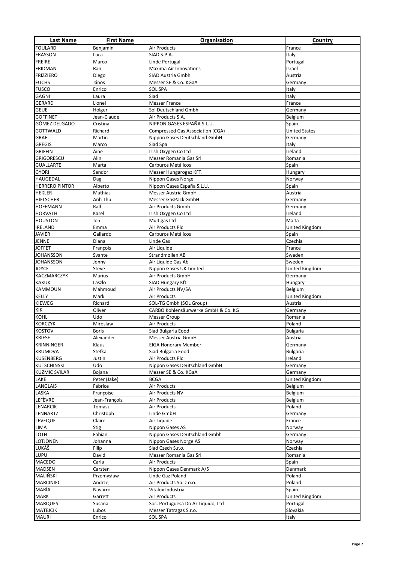| <b>Last Name</b>                      | <b>First Name</b>         | Organisation                                  | Country                   |
|---------------------------------------|---------------------------|-----------------------------------------------|---------------------------|
| <b>FOULARD</b>                        | Benjamin                  | Air Products                                  | France                    |
| <b>FRASSON</b>                        | Luca                      | SIAD S.P.A.                                   | Italy                     |
| <b>FREIRE</b>                         | Marco                     | Linde Portugal                                | Portugal                  |
| <b>FRIDMAN</b>                        | Ran                       | Maxima Air Innovations                        | Israel                    |
| <b>FRIZZIERO</b>                      | Diego                     | SIAD Austria Gmbh                             | Austria                   |
| <b>FUCHS</b>                          | János                     | Messer SE & Co. KGaA                          | Germany                   |
| <b>FUSCO</b>                          | Enrico                    | <b>SOL SPA</b>                                | Italy                     |
| <b>GAGNI</b>                          | Laura                     | Siad                                          | Italy                     |
| <b>GERARD</b>                         | Lionel                    | <b>Messer France</b>                          | France                    |
| <b>GEUE</b>                           | Holger                    | Sol Deutschland Gmbh                          | Germany                   |
| <b>GOFFINET</b>                       | Jean-Claude               | Air Products S.A.                             | Belgium                   |
| GÓMEZ DELGADO                         | Cristina                  | NIPPON GASES ESPAÑA S.L.U.                    | Spain                     |
| <b>GOTTWALD</b>                       | Richard                   | <b>Compressed Gas Association (CGA)</b>       | <b>United States</b>      |
| <b>GRAF</b>                           | Martin                    | Nippon Gases Deutschland GmbH                 | Germany                   |
| <b>GREGIS</b>                         | Marco                     | Siad Spa                                      | Italy                     |
| <b>GRIFFIN</b>                        | Áine                      | Irish Oxygen Co Ltd                           | Ireland                   |
| <b>GRIGORESCU</b><br><b>GUALLARTE</b> | Alin<br>Marta             | Messer Romania Gaz Srl<br>Carburos Metálicos  | Romania<br>Spain          |
|                                       | Sandor                    |                                               |                           |
| <b>GYORI</b><br><b>HAUGEDAL</b>       | Dag                       | Messer Hungarogaz KFT.<br>Nippon Gases Norge  | Hungary<br>Norway         |
| <b>HERRERO PINTOR</b>                 | Alberto                   | Nippon Gases España S.L.U.                    | Spain                     |
| <b>HEßLER</b>                         | Mathias                   | Messer Austria GmbH                           | Austria                   |
| <b>HIELSCHER</b>                      | Anh Thu                   | Messer GasPack GmbH                           | Germany                   |
| <b>HOFFMANN</b>                       | Ralf                      | Air Products Gmbh                             | Germany                   |
| <b>HORVATH</b>                        | Karel                     | Irish Oxygen Co Ltd                           | Ireland                   |
| <b>HOUSTON</b>                        | Jon                       | Multigas Ltd                                  | Malta                     |
| <b>IRELAND</b>                        | Emma                      | Air Products Plc                              | United Kingdom            |
| <b>JAVIER</b>                         | Gallardo                  | Carburos Metálicos                            | Spain                     |
| <b>JENNE</b>                          | Diana                     | Linde Gas                                     | Czechia                   |
|                                       |                           |                                               |                           |
| <b>JOFFET</b><br><b>JOHANSSON</b>     | François                  | Air Liquide<br>Strandmøllen AB                | France                    |
|                                       | Svante                    |                                               | Sweden                    |
| <b>JOHANSSON</b>                      | Jonny                     | Air Liquide Gas Ab<br>Nippon Gases UK Limited | Sweden                    |
| <b>JOYCE</b><br><b>KACZMARCZYK</b>    | Steve<br><b>Marius</b>    | Air Products GmbH                             | United Kingdom            |
| <b>KAKUK</b>                          | Laszlo                    |                                               | Germany                   |
| <b>KAMMOUN</b>                        |                           | SIAD Hungary Kft.<br>Air Products NV/SA       | Hungary                   |
|                                       | Mahmoud                   |                                               | Belgium                   |
| <b>KELLY</b>                          | Mark<br>Richard           | <b>Air Products</b>                           | United Kingdom<br>Austria |
| <b>KIEWEG</b>                         |                           | SOL-TG Gmbh (SOL Group)                       |                           |
| <b>KIK</b>                            | Oliver                    | CARBO Kohlensäurwerke GmbH & Co. KG           | Germany                   |
| KOHL                                  | Udo                       | <b>Messer Group</b>                           | Romania                   |
| <b>KORCZYK</b>                        | Miroslaw                  | Air Products                                  | Poland                    |
| <b>KOSTOV</b>                         | <b>Boris</b><br>Alexander | Siad Bulgaria Eood                            | <b>Bulgaria</b>           |
| <b>KRIESE</b>                         |                           | Messer Austria GmbH                           | Austria                   |
| <b>KRINNINGER</b>                     | Klaus                     | <b>EIGA Honorary Member</b>                   | Germany                   |
| <b>KRUMOVA</b>                        | Stefka                    | Siad Bulgaria Eood                            | <b>Bulgaria</b>           |
| <b>KUSENBERG</b>                      | Justin                    | Air Products Plc                              | Ireland                   |
| <b>KUTSCHINSKI</b>                    | Udo                       | Nippon Gases Deutschland GmbH                 | Germany                   |
| <b>KUZMIC SVILAR</b>                  | Bojana                    | Messer SE & Co. KGaA                          | Germany                   |
| LAKE                                  | Peter (Jake)              | <b>BCGA</b>                                   | United Kingdom            |
| <b>LANGLAIS</b>                       | Fabrice                   | Air Products                                  | Belgium                   |
| LASKA                                 | Françoise                 | Air Products NV                               | Belgium                   |
| LEFÈVRE                               | Jean-François             | Air Products                                  | Belgium                   |
| LENARCIK                              | Tomasz                    | Air Products                                  | Poland                    |
| LENNARTZ                              | Christoph                 | Linde GmbH                                    | Germany                   |
| <b>LEVEQUE</b>                        | Claire                    | Air Liquide                                   | France                    |
| LIMA                                  | <b>Stig</b>               | Nippon Gases AS                               | Norway                    |
| LOTH                                  | Fabian                    | Nippon Gases Deutschland Gmbh                 | Germany                   |
| LÖTJÖNEN<br>LUKÁŠ                     | Johanna                   | Nippon Gases Norge AS                         | Norway                    |
|                                       | Filip                     | Siad Czech S.r.o.                             | Czechia                   |
| LUPU                                  | David                     | Messer Romania Gaz Srl                        | Romania                   |
| <b>MACEDO</b>                         | Carla                     | Air Products                                  | Spain                     |
| MADSEN                                | Carsten                   | Nippon Gases Denmark A/S                      | Denmark                   |
| MALIŃSKI                              | Przemysław                | Linde Gaz Poland                              | Poland                    |
| <b>MARCINIEC</b>                      | Andrzej                   | Air Products Sp. z o.o.                       | Poland                    |
| MARÍA                                 | Navarro                   | Vitalox Industrial                            | Spain                     |
| <b>MARK</b>                           | Garrett                   | Air Products                                  | United Kingdom            |
| <b>MARQUES</b>                        | Susana                    | Soc. Portuguesa Do Ar Liquido, Ltd            | Portugal                  |
| <b>MATEJCIK</b>                       | Lubos                     | Messer Tatragas S.r.o.                        | Slovakia                  |
| <b>MAURI</b>                          | Enrico                    | SOL SPA                                       | Italy                     |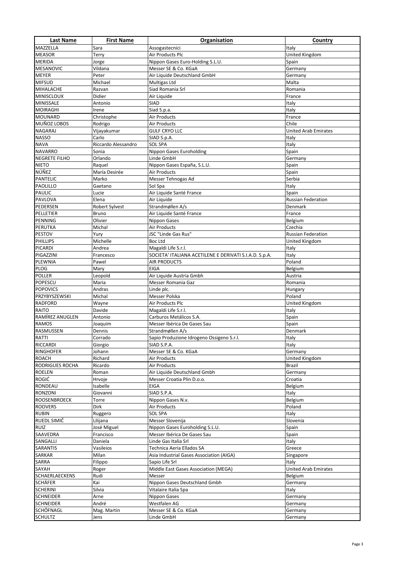| <b>Last Name</b>                     | <b>First Name</b>     | Organisation                                                                  | Country                     |
|--------------------------------------|-----------------------|-------------------------------------------------------------------------------|-----------------------------|
| MAZZELLA                             | Sara                  | Assogastecnici                                                                | Italy                       |
| <b>MEASOR</b>                        | Terry                 | Air Products Plc                                                              | United Kingdom              |
| <b>MERIDA</b>                        | Jorge                 | Nippon Gases Euro-Holding S.L.U.                                              | Spain                       |
| <b>MESANOVIC</b>                     | Vildana               | Messer SE & Co. KGaA                                                          | Germany                     |
| <b>MEYER</b>                         | Peter                 | Air Liquide Deutschland GmbH                                                  | Germany                     |
| <b>MIFSUD</b>                        | Michael               | Multigas Ltd                                                                  | Malta                       |
| MIHALACHE                            | Razvan                | Siad Romania Srl                                                              | Romania                     |
| <b>MINISCLOUX</b>                    | Didier                | Air Liquide                                                                   | France                      |
| <b>MINISSALE</b>                     | Antonio               | SIAD                                                                          | Italy                       |
| <b>MOIRAGHI</b>                      | Irene                 | Siad S.p.a.                                                                   | Italy                       |
| <b>MOUNARD</b><br><b>MUÑOZ LOBOS</b> | Christophe<br>Rodrigo | Air Products<br>Air Products                                                  | France<br>Chile             |
| <b>NAGARAJ</b>                       | Vijayakumar           | <b>GULF CRYO LLC</b>                                                          | <b>United Arab Emirates</b> |
| <b>NASSO</b>                         | Carlo                 | SIAD S.p.A.                                                                   | Italy                       |
| <b>NAVA</b>                          | Riccardo Alessandro   | <b>SOL SPA</b>                                                                | Italy                       |
| <b>NAVARRO</b>                       | Sonia                 | Nippon Gases Euroholding                                                      | Spain                       |
| <b>NEGRETE FILHO</b>                 | Orlando               | Linde GmbH                                                                    | Germany                     |
| <b>NIETO</b>                         | Raquel                | Nippon Gases España, S.L.U.                                                   | Spain                       |
| NÚÑEZ                                | María Desirée         | Air Products                                                                  | Spain                       |
| <b>PANTELIC</b>                      | Marko                 | Messer Tehnogas Ad                                                            | Serbia                      |
| <b>PAOLILLO</b>                      | Gaetano               | Sol Spa                                                                       | Italy                       |
| <b>PAULIC</b>                        | Lucie                 | Air Liquide Santé France                                                      | Spain                       |
| <b>PAVLOVA</b>                       | Elena                 | Air Liquide                                                                   | <b>Russian Federation</b>   |
| PEDERSEN                             | <b>Robert Sylvest</b> | Strandmøllen A/s                                                              | Denmark                     |
| PELLETIER                            | <b>Bruno</b>          | Air Liquide Santé France                                                      | France                      |
| PENNING                              | Olivier               | <b>Nippon Gases</b>                                                           | Belgium                     |
| PERUTKA                              | Michal                | Air Products                                                                  | Czechia                     |
| <b>PESTOV</b>                        | Yury                  | JSC "Linde Gas Rus"                                                           | <b>Russian Federation</b>   |
| <b>PHILLIPS</b>                      | Michelle              | <b>Boc Ltd</b>                                                                | United Kingdom              |
| <b>PICARDI</b><br>PIGAZZINI          | Andrea<br>Francesco   | Magaldi Life S.r.l.<br>SOCIETA' ITALIANA ACETILENE E DERIVATI S.I.A.D. S.p.A. | Italy<br>Italy              |
| <b>PLEWNIA</b>                       | Pawel                 | <b>AIR PRODUCTS</b>                                                           | Poland                      |
| <b>PLOG</b>                          | Mary                  | <b>EIGA</b>                                                                   | Belgium                     |
| <b>POLLER</b>                        | Leopold               | Air Liquide Austria Gmbh                                                      | Austria                     |
| <b>POPESCU</b>                       | Maria                 | Messer Romania Gaz                                                            | Romania                     |
| <b>POPOVICS</b>                      | Andras                | Linde plc.                                                                    | Hungary                     |
| PRZYBYSZEWSKI                        | Michal                | Messer Polska                                                                 | Poland                      |
| <b>RADFORD</b>                       | Wayne                 | Air Products Plc                                                              | United Kingdom              |
| RAITO                                | Davide                | Magaldi Life S.r.l.                                                           | Italy                       |
| RAMÍREZ ANUGLEN                      | Antonio               | Carburos Metálicos S.A.                                                       | Spain                       |
| <b>RAMOS</b>                         | Joaquim               | Messer Ibérica De Gases Sau                                                   | Spain                       |
| <b>RASMUSSEN</b>                     | Dennis                | Strandmøllen A/s                                                              | Denmark                     |
| RATTI                                | Corrado               | Sapio Produzione Idrogeno Ossigeno S.r.l.                                     | Italy                       |
| <b>RICCARDI</b>                      | Giorgio               | SIAD S.P.A.                                                                   | Italy                       |
| <b>RINGHOFER</b><br><b>ROACH</b>     | Johann<br>Richard     | Messer SE & Co. KGaA<br>Air Products                                          | Germany<br>United Kingdom   |
| <b>RODRIGUES ROCHA</b>               | Ricardo               | Air Products                                                                  | Brazil                      |
| <b>ROELEN</b>                        | Roman                 | Air Liquide Deutschland Gmbh                                                  | Germany                     |
| <b>ROGIĆ</b>                         | Hrvoje                | Messer Croatia Plin D.o.o.                                                    | Croatia                     |
| RONDEAU                              | Isabelle              | EIGA                                                                          | Belgium                     |
| <b>RONZONI</b>                       | Giovanni              | SIAD S.P.A.                                                                   | Italy                       |
| <b>ROOSENBROECK</b>                  | Torre                 | Nippon Gases N.v.                                                             | Belgium                     |
| <b>ROOVERS</b>                       | Dirk                  | Air Products                                                                  | Poland                      |
| <b>RUBIN</b>                         | Ruggero               | <b>SOL SPA</b>                                                                | Italy                       |
| RUEDL SIMIČ                          | Lilijana              | Messer Slovenija                                                              | Slovenia                    |
| <b>RUIZ</b>                          | José Miguel           | Nippon Gases Euroholding S.L.U.                                               | Spain                       |
| SAAVEDRA                             | Francisco             | Messer Ibérica De Gases Sau                                                   | Spain                       |
| SANGALLI                             | Daniela               | Linde Gas Italia Srl                                                          | Italy                       |
| <b>SARANTIS</b>                      | Vasileios             | Technica Aeria Ellados SA                                                     | Greece                      |
| SARKAR<br>SARRA                      | Milan<br>Filippo      | Asia Industrial Gases Association (AIGA)<br>Sapio Life Srl                    | Singapore<br>Italy          |
| SAYAH                                | Roger                 | Middle East Gases Association (MEGA)                                          | <b>United Arab Emirates</b> |
| <b>SCHAERLAECKENS</b>                | Rudi                  | Messer                                                                        | Belgium                     |
| <b>SCHÄFER</b>                       | Kai                   | Nippon Gases Deutschland Gmbh                                                 | Germany                     |
| <b>SCHERINI</b>                      | Silvia                | Vitalaire Italia Spa                                                          | Italy                       |
| <b>SCHNEIDER</b>                     | Arne                  | Nippon Gases                                                                  | Germany                     |
| <b>SCHNEIDER</b>                     | André                 | Westfalen AG                                                                  | Germany                     |
| SCHÖFNAGL                            | Mag. Martin           | Messer SE & Co. KGaA                                                          | Germany                     |
| <b>SCHULTZ</b>                       | Jens                  | Linde GmbH                                                                    | Germany                     |